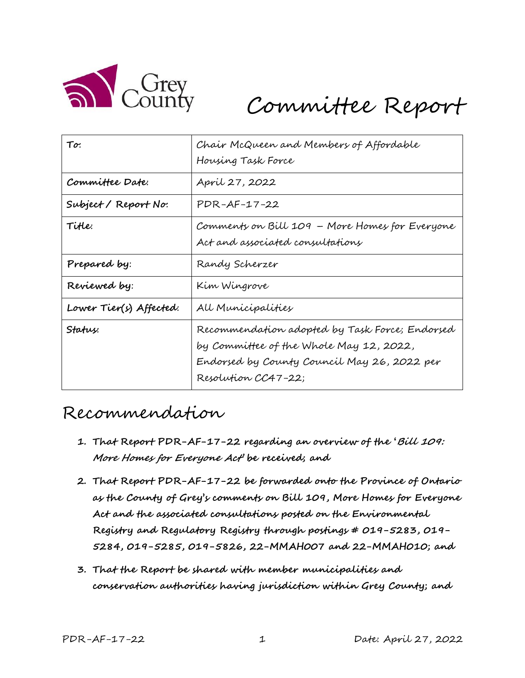

# Committee Report

| To:                     | Chair McQueen and Members of Affordable<br>Housing Task Force                                                                                                   |
|-------------------------|-----------------------------------------------------------------------------------------------------------------------------------------------------------------|
| Committee Date:         | April 27, 2022                                                                                                                                                  |
| Subject/Report No.      | PDR-AF-17-22                                                                                                                                                    |
| TiHe:                   | Comments on Bill 109 – More Homes for Everyone<br>Act and associated consultations                                                                              |
| Prepared by:            | Randy Scherzer                                                                                                                                                  |
| Reviewed by:            | Kim Wingrove                                                                                                                                                    |
| Lower Tier(s) Affected: | All Municipalities                                                                                                                                              |
| Status:                 | Recommendation adopted by Task Force; Endorsed<br>by Committee of the Whole May 12, 2022,<br>Endorsed by County Council May 26, 2022 per<br>Resolution CC47-22; |

# Recommendation

- **1. That Report PDR-AF-17-22 regarding an overview of the 'Bill 109: More Homes for Everyone Act' be received; and**
- **2. That Report PDR-AF-17-22 be forwarded onto the Province of Ontario as the County of Grey's comments on Bill 109, More Homes for Everyone Act and the associated consultations posted on the Environmental Registry and Regulatory Registry through postings # 019-5283, 019- 5284, 019-5285, 019-5826, 22-MMAH007 and 22-MMAH010; and**
- **3. That the Report be shared with member municipalities and conservation authorities having jurisdiction within Grey County; and**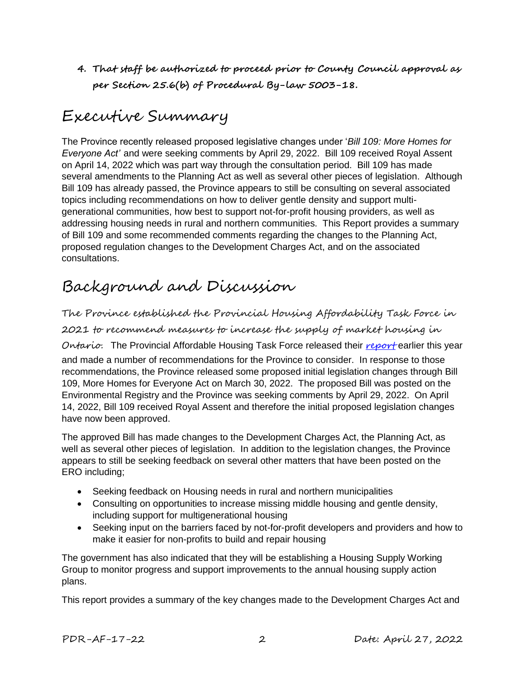**4. That staff be authorized to proceed prior to County Council approval as per Section 25.6(b) of Procedural By-law 5003-18.**

# Executive Summary

The Province recently released proposed legislative changes under '*Bill 109: More Homes for Everyone Act'* and were seeking comments by April 29, 2022. Bill 109 received Royal Assent on April 14, 2022 which was part way through the consultation period. Bill 109 has made several amendments to the Planning Act as well as several other pieces of legislation. Although Bill 109 has already passed, the Province appears to still be consulting on several associated topics including recommendations on how to deliver gentle density and support multigenerational communities, how best to support not-for-profit housing providers, as well as addressing housing needs in rural and northern communities. This Report provides a summary of Bill 109 and some recommended comments regarding the changes to the Planning Act, proposed regulation changes to the Development Charges Act, and on the associated consultations.

# Background and Discussion

The Province established the Provincial Housing Affordability Task Force in

2021 to recommend measures to increase the supply of market housing in

Ontario. The Provincial Affordable Housing Task Force released their [report](https://files.ontario.ca/mmah-housing-affordability-task-force-report-en-2022-02-07-v2.pdf) earlier this year

and made a number of recommendations for the Province to consider. In response to those recommendations, the Province released some proposed initial legislation changes through Bill 109, More Homes for Everyone Act on March 30, 2022. The proposed Bill was posted on the Environmental Registry and the Province was seeking comments by April 29, 2022. On April 14, 2022, Bill 109 received Royal Assent and therefore the initial proposed legislation changes have now been approved.

The approved Bill has made changes to the Development Charges Act, the Planning Act, as well as several other pieces of legislation. In addition to the legislation changes, the Province appears to still be seeking feedback on several other matters that have been posted on the ERO including;

- Seeking feedback on Housing needs in rural and northern municipalities
- Consulting on opportunities to increase missing middle housing and gentle density, including support for multigenerational housing
- Seeking input on the barriers faced by not-for-profit developers and providers and how to make it easier for non-profits to build and repair housing

The government has also indicated that they will be establishing a Housing Supply Working Group to monitor progress and support improvements to the annual housing supply action plans.

This report provides a summary of the key changes made to the Development Charges Act and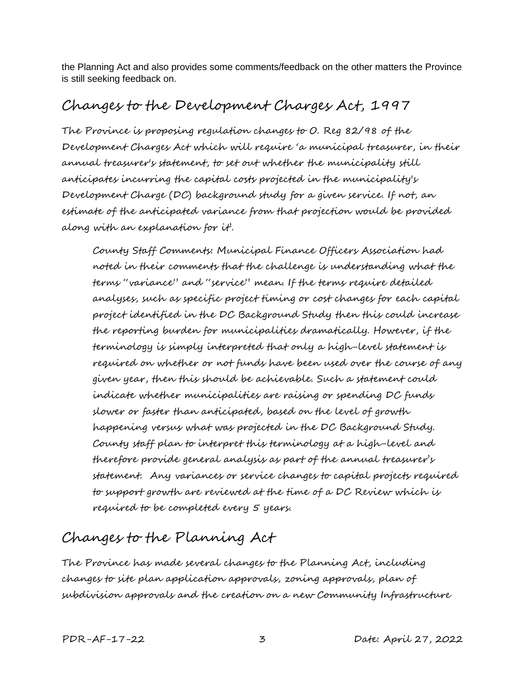the Planning Act and also provides some comments/feedback on the other matters the Province is still seeking feedback on.

## Changes to the Development Charges Act, 1997

The Province is proposing regulation changes to O. Reg 82/98 of the Development Charges Act which will require 'a municipal treasurer, in their annual treasurer's statement, to set out whether the municipality still anticipates incurring the capital costs projected in the municipality's Development Charge (DC) background study for a given service. If not, an estimate of the anticipated variance from that projection would be provided along with an explanation for it'.

County Staff Comments: Municipal Finance Officers Association had noted in their comments that the challenge is understanding what the terms "variance" and "service" mean. If the terms require detailed analyses, such as specific project timing or cost changes for each capital project identified in the DC Background Study then this could increase the reporting burden for municipalities dramatically. However, if the terminology is simply interpreted that only a high-level statement is required on whether or not funds have been used over the course of any given year, then this should be achievable. Such a statement could indicate whether municipalities are raising or spending DC funds slower or faster than anticipated, based on the level of growth happening versus what was projected in the DC Background Study. County staff plan to interpret this terminology at a high-level and therefore provide general analysis as part of the annual treasurer's statement. Any variances or service changes to capital projects required to support growth are reviewed at the time of a DC Review which is required to be completed every 5 years.

# Changes to the Planning Act

The Province has made several changes to the Planning Act, including changes to site plan application approvals, zoning approvals, plan of subdivision approvals and the creation on a new Community Infrastructure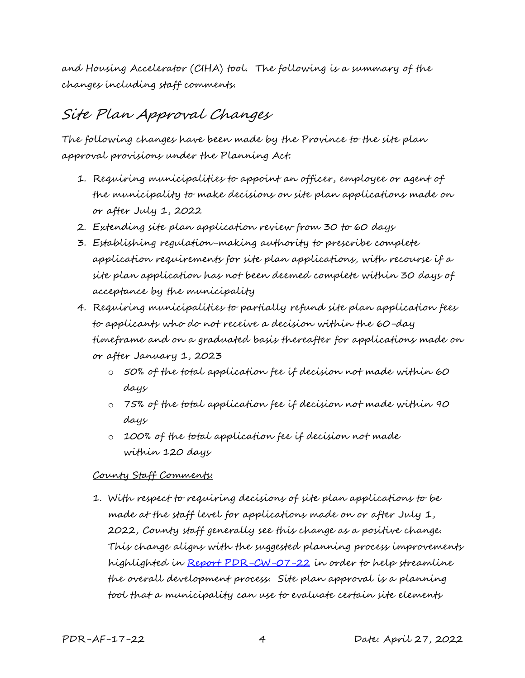and Housing Accelerator (CIHA) tool. The following is a summary of the changes including staff comments.

## Site Plan Approval Changes

The following changes have been made by the Province to the site plan approval provisions under the Planning Act:

- 1. Requiring municipalities to appoint an officer, employee or agent of the municipality to make decisions on site plan applications made on or after July 1, 2022
- 2. Extending site plan application review from 30 to 60 days
- 3. Establishing regulation-making authority to prescribe complete application requirements for site plan applications, with recourse if a site plan application has not been deemed complete within 30 days of acceptance by the municipality
- 4. Requiring municipalities to partially refund site plan application fees to applicants who do not receive a decision within the 60-day timeframe and on a graduated basis thereafter for applications made on or after January 1, 2023
	- o 50% of the total application fee if decision not made within 60 days
	- o 75% of the total application fee if decision not made within 90 days
	- o 100% of the total application fee if decision not made within 120 days

#### County Staff Comments:

1. With respect to requiring decisions of site plan applications to be made at the staff level for applications made on or after July 1, 2022, County staff generally see this change as a positive change. This change aligns with the suggested planning process improvements highlighted in [Report PDR-CW-07-22](https://docs.grey.ca/share/public?nodeRef=workspace://SpacesStore/606faf54-c296-41ed-9a46-aa6cef1f8b10) in order to help streamline the overall development process. Site plan approval is a planning tool that a municipality can use to evaluate certain site elements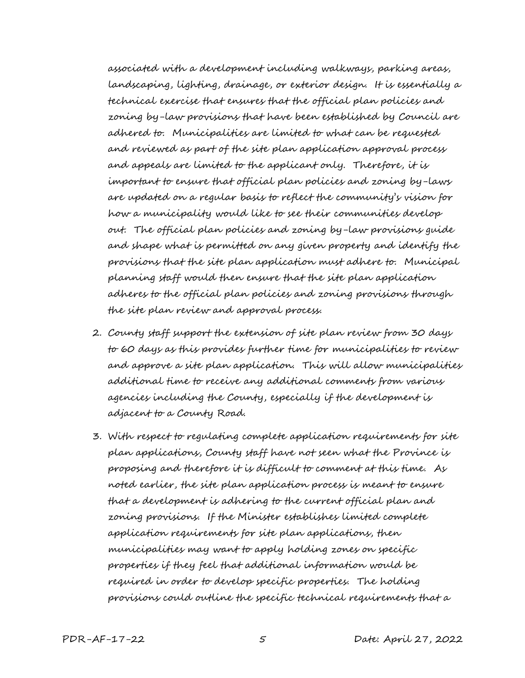associated with a development including walkways, parking areas, landscaping, lighting, drainage, or exterior design. It is essentially a technical exercise that ensures that the official plan policies and zoning by-law provisions that have been established by Council are adhered to. Municipalities are limited to what can be requested and reviewed as part of the site plan application approval process and appeals are limited to the applicant only. Therefore, it is important to ensure that official plan policies and zoning by-laws are updated on a regular basis to reflect the community's vision for how a municipality would like to see their communities develop out. The official plan policies and zoning by-law provisions guide and shape what is permitted on any given property and identify the provisions that the site plan application must adhere to. Municipal planning staff would then ensure that the site plan application adheres to the official plan policies and zoning provisions through the site plan review and approval process.

- 2. County staff support the extension of site plan review from 30 days to 60 days as this provides further time for municipalities to review and approve a site plan application. This will allow municipalities additional time to receive any additional comments from various agencies including the County, especially if the development is adjacent to a County Road.
- 3. With respect to regulating complete application requirements for site plan applications, County staff have not seen what the Province is proposing and therefore it is difficult to comment at this time. As noted earlier, the site plan application process is meant to ensure that a development is adhering to the current official plan and zoning provisions. If the Minister establishes limited complete application requirements for site plan applications, then municipalities may want to apply holding zones on specific properties if they feel that additional information would be required in order to develop specific properties. The holding provisions could outline the specific technical requirements that a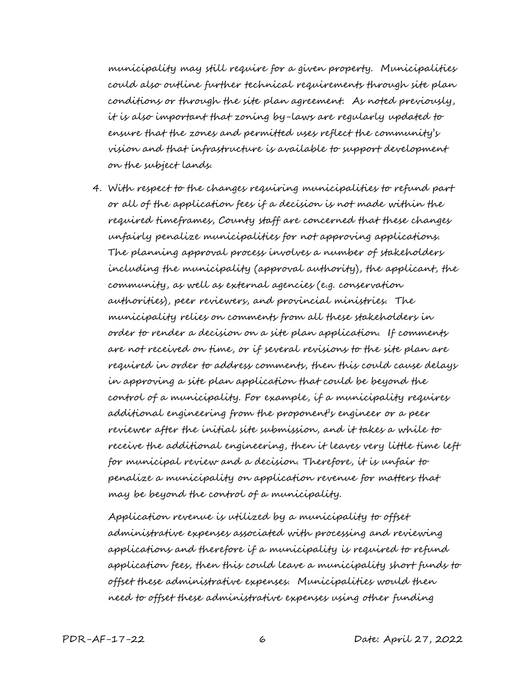municipality may still require for a given property. Municipalities could also outline further technical requirements through site plan conditions or through the site plan agreement. As noted previously, it is also important that zoning by-laws are regularly updated to ensure that the zones and permitted uses reflect the community's vision and that infrastructure is available to support development on the subject lands.

4. With respect to the changes requiring municipalities to refund part or all of the application fees if a decision is not made within the required timeframes, County staff are concerned that these changes unfairly penalize municipalities for not approving applications. The planning approval process involves a number of stakeholders including the municipality (approval authority), the applicant, the community, as well as external agencies (e.g. conservation authorities), peer reviewers, and provincial ministries. The municipality relies on comments from all these stakeholders in order to render a decision on a site plan application. If comments are not received on time, or if several revisions to the site plan are required in order to address comments, then this could cause delays in approving a site plan application that could be beyond the control of a municipality. For example, if a municipality requires additional engineering from the proponent's engineer or a peer reviewer after the initial site submission, and it takes a while to receive the additional engineering, then it leaves very little time left for municipal review and a decision. Therefore, it is unfair to penalize a municipality on application revenue for matters that may be beyond the control of a municipality.

Application revenue is utilized by a municipality to offset administrative expenses associated with processing and reviewing applications and therefore if a municipality is required to refund application fees, then this could leave a municipality short funds to offset these administrative expenses. Municipalities would then need to offset these administrative expenses using other funding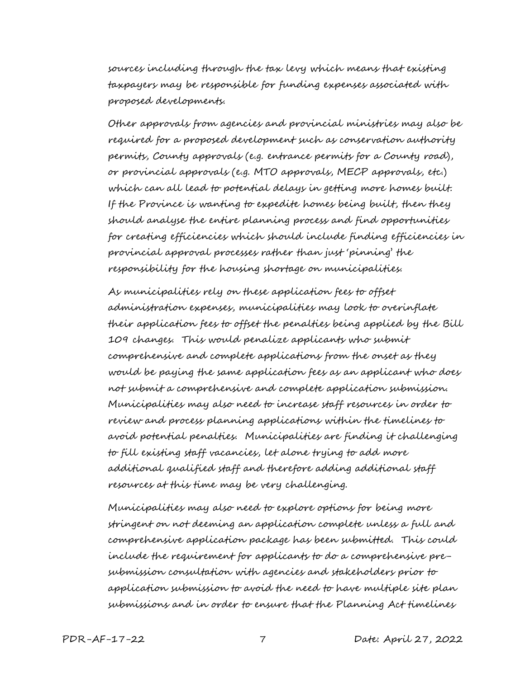sources including through the tax levy which means that existing taxpayers may be responsible for funding expenses associated with proposed developments.

Other approvals from agencies and provincial ministries may also be required for a proposed development such as conservation authority permits, County approvals (e.g. entrance permits for a County road), or provincial approvals (e.g. MTO approvals, MECP approvals, etc.) which can all lead to potential delays in getting more homes built. If the Province is wanting to expedite homes being built, then they should analyse the entire planning process and find opportunities for creating efficiencies which should include finding efficiencies in provincial approval processes rather than just 'pinning' the responsibility for the housing shortage on municipalities.

As municipalities rely on these application fees to offset administration expenses, municipalities may look to overinflate their application fees to offset the penalties being applied by the Bill 109 changes. This would penalize applicants who submit comprehensive and complete applications from the onset as they would be paying the same application fees as an applicant who does not submit a comprehensive and complete application submission. Municipalities may also need to increase staff resources in order to review and process planning applications within the timelines to avoid potential penalties. Municipalities are finding it challenging to fill existing staff vacancies, let alone trying to add more additional qualified staff and therefore adding additional staff resources at this time may be very challenging.

Municipalities may also need to explore options for being more stringent on not deeming an application complete unless a full and comprehensive application package has been submitted. This could include the requirement for applicants to do a comprehensive presubmission consultation with agencies and stakeholders prior to application submission to avoid the need to have multiple site plan submissions and in order to ensure that the Planning Act timelines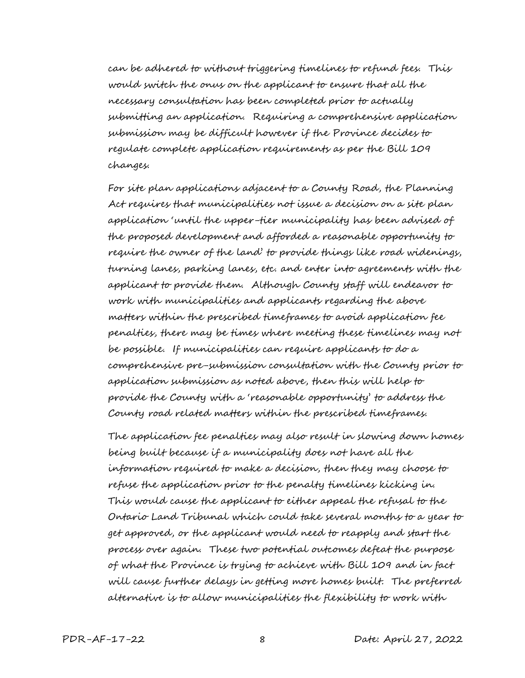can be adhered to without triggering timelines to refund fees. This would switch the onus on the applicant to ensure that all the necessary consultation has been completed prior to actually submitting an application. Requiring a comprehensive application submission may be difficult however if the Province decides to regulate complete application requirements as per the Bill 109 changes.

For site plan applications adjacent to a County Road, the Planning Act requires that municipalities not issue a decision on a site plan application 'until the upper-tier municipality has been advised of the proposed development and afforded a reasonable opportunity to require the owner of the land' to provide things like road widenings, turning lanes, parking lanes, etc. and enter into agreements with the applicant to provide them. Although County staff will endeavor to work with municipalities and applicants regarding the above matters within the prescribed timeframes to avoid application fee penalties, there may be times where meeting these timelines may not be possible. If municipalities can require applicants to do a comprehensive pre-submission consultation with the County prior to application submission as noted above, then this will help to provide the County with a 'reasonable opportunity' to address the County road related matters within the prescribed timeframes.

The application fee penalties may also result in slowing down homes being built because if a municipality does not have all the information required to make a decision, then they may choose to refuse the application prior to the penalty timelines kicking in. This would cause the applicant to either appeal the refusal to the Ontario Land Tribunal which could take several months to a year to get approved, or the applicant would need to reapply and start the process over again. These two potential outcomes defeat the purpose of what the Province is trying to achieve with Bill 109 and in fact will cause further delays in getting more homes built. The preferred alternative is to allow municipalities the flexibility to work with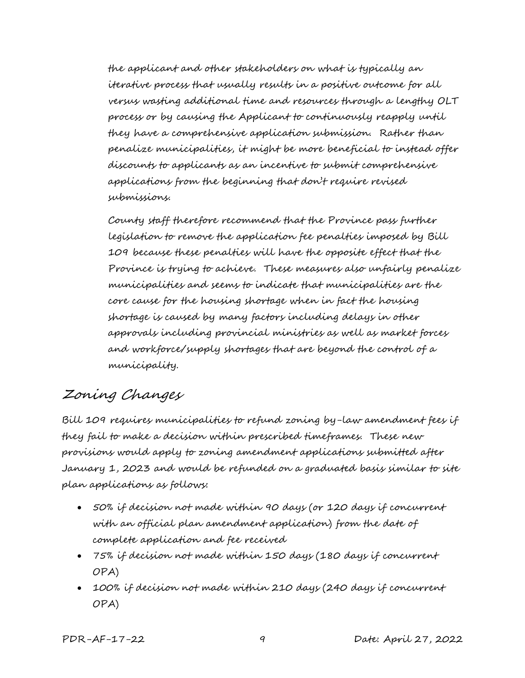the applicant and other stakeholders on what is typically an iterative process that usually results in a positive outcome for all versus wasting additional time and resources through a lengthy OLT process or by causing the Applicant to continuously reapply until they have a comprehensive application submission. Rather than penalize municipalities, it might be more beneficial to instead offer discounts to applicants as an incentive to submit comprehensive applications from the beginning that don't require revised submissions.

County staff therefore recommend that the Province pass further legislation to remove the application fee penalties imposed by Bill 109 because these penalties will have the opposite effect that the Province is trying to achieve. These measures also unfairly penalize municipalities and seems to indicate that municipalities are the core cause for the housing shortage when in fact the housing shortage is caused by many factors including delays in other approvals including provincial ministries as well as market forces and workforce/supply shortages that are beyond the control of a municipality.

### Zoning Changes

Bill 109 requires municipalities to refund zoning by-law amendment fees if they fail to make a decision within prescribed timeframes. These new provisions would apply to zoning amendment applications submitted after January 1, 2023 and would be refunded on a graduated basis similar to site plan applications as follows:

- 50% if decision not made within 90 days (or 120 days if concurrent with an official plan amendment application) from the date of complete application and fee received
- 75% if decision not made within 150 days (180 days if concurrent OPA)
- 100% if decision not made within 210 days (240 days if concurrent OPA)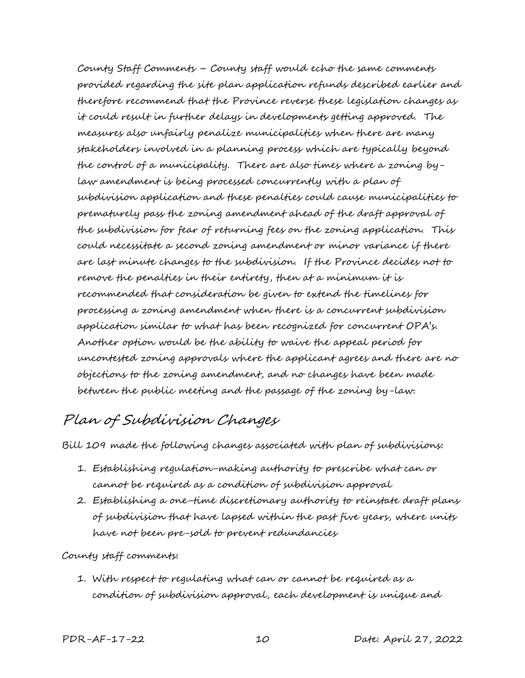County Staff Comments – County staff would echo the same comments provided regarding the site plan application refunds described earlier and therefore recommend that the Province reverse these legislation changes as it could result in further delays in developments getting approved. The measures also unfairly penalize municipalities when there are many stakeholders involved in a planning process which are typically beyond the control of a municipality. There are also times where a zoning bylaw amendment is being processed concurrently with a plan of subdivision application and these penalties could cause municipalities to prematurely pass the zoning amendment ahead of the draft approval of the subdivision for fear of returning fees on the zoning application. This could necessitate a second zoning amendment or minor variance if there are last minute changes to the subdivision. If the Province decides not to remove the penalties in their entirety, then at a minimum it is recommended that consideration be given to extend the timelines for processing a zoning amendment when there is a concurrent subdivision application similar to what has been recognized for concurrent OPA's. Another option would be the ability to waive the appeal period for uncontested zoning approvals where the applicant agrees and there are no objections to the zoning amendment, and no changes have been made between the public meeting and the passage of the zoning by-law.

## Plan of Subdivision Changes

Bill 109 made the following changes associated with plan of subdivisions:

- 1. Establishing regulation-making authority to prescribe what can or cannot be required as a condition of subdivision approval
- 2. Establishing a one-time discretionary authority to reinstate draft plans of subdivision that have lapsed within the past five years, where units have not been pre-sold to prevent redundancies

#### County staff comments:

1. With respect to regulating what can or cannot be required as a condition of subdivision approval, each development is unique and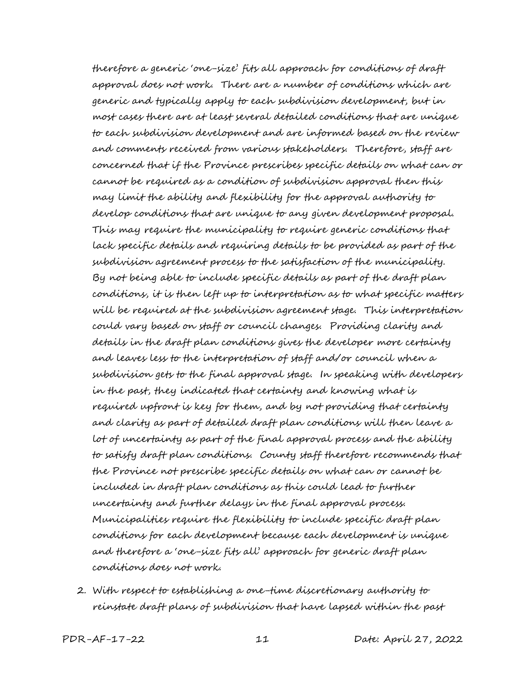therefore a generic 'one-size' fits all approach for conditions of draft approval does not work. There are a number of conditions which are generic and typically apply to each subdivision development, but in most cases there are at least several detailed conditions that are unique to each subdivision development and are informed based on the review and comments received from various stakeholders. Therefore, staff are concerned that if the Province prescribes specific details on what can or cannot be required as a condition of subdivision approval then this may limit the ability and flexibility for the approval authority to develop conditions that are unique to any given development proposal. This may require the municipality to require generic conditions that lack specific details and requiring details to be provided as part of the subdivision agreement process to the satisfaction of the municipality. By not being able to include specific details as part of the draft plan conditions, it is then left up to interpretation as to what specific matters will be required at the subdivision agreement stage. This interpretation could vary based on staff or council changes. Providing clarity and details in the draft plan conditions gives the developer more certainty and leaves less to the interpretation of staff and/or council when a subdivision gets to the final approval stage. In speaking with developers in the past, they indicated that certainty and knowing what is required upfront is key for them, and by not providing that certainty and clarity as part of detailed draft plan conditions will then leave a lot of uncertainty as part of the final approval process and the ability to satisfy draft plan conditions. County staff therefore recommends that the Province not prescribe specific details on what can or cannot be included in draft plan conditions as this could lead to further uncertainty and further delays in the final approval process. Municipalities require the flexibility to include specific draft plan conditions for each development because each development is unique and therefore a 'one-size fits all' approach for generic draft plan conditions does not work.

2. With respect to establishing a one-time discretionary authority to reinstate draft plans of subdivision that have lapsed within the past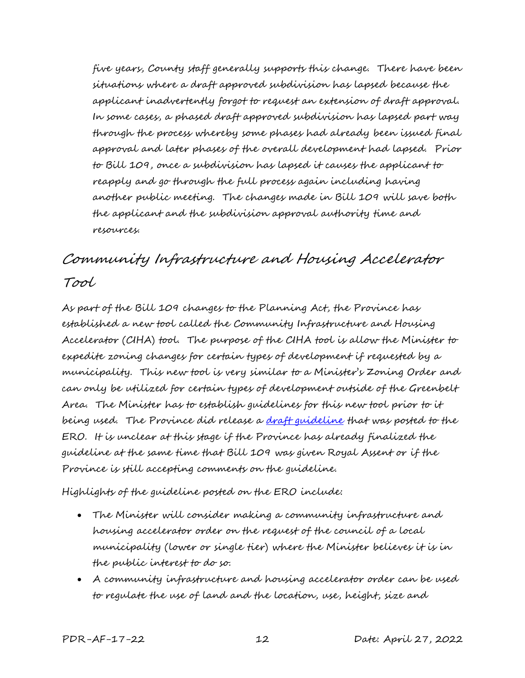five years, County staff generally supports this change. There have been situations where a draft approved subdivision has lapsed because the applicant inadvertently forgot to request an extension of draft approval. In some cases, a phased draft approved subdivision has lapsed part way through the process whereby some phases had already been issued final approval and later phases of the overall development had lapsed. Prior to Bill 109, once a subdivision has lapsed it causes the applicant to reapply and go through the full process again including having another public meeting. The changes made in Bill 109 will save both the applicant and the subdivision approval authority time and resources.

# Community Infrastructure and Housing Accelerator Tool

As part of the Bill 109 changes to the Planning Act, the Province has established a new tool called the Community Infrastructure and Housing Accelerator (CIHA) tool. The purpose of the CIHA tool is allow the Minister to expedite zoning changes for certain types of development if requested by a municipality. This new tool is very similar to a Minister's Zoning Order and can only be utilized for certain types of development outside of the Greenbelt Area. The Minister has to establish guidelines for this new tool prior to it being used. The Province did release a [draft guideline](https://ero.ontario.ca/notice/019-5285) that was posted to the ERO. It is unclear at this stage if the Province has already finalized the guideline at the same time that Bill 109 was given Royal Assent or if the Province is still accepting comments on the guideline.

Highlights of the guideline posted on the ERO include:

- The Minister will consider making a community infrastructure and housing accelerator order on the request of the council of a local municipality (lower or single tier) where the Minister believes it is in the public interest to do so.
- A community infrastructure and housing accelerator order can be used to regulate the use of land and the location, use, height, size and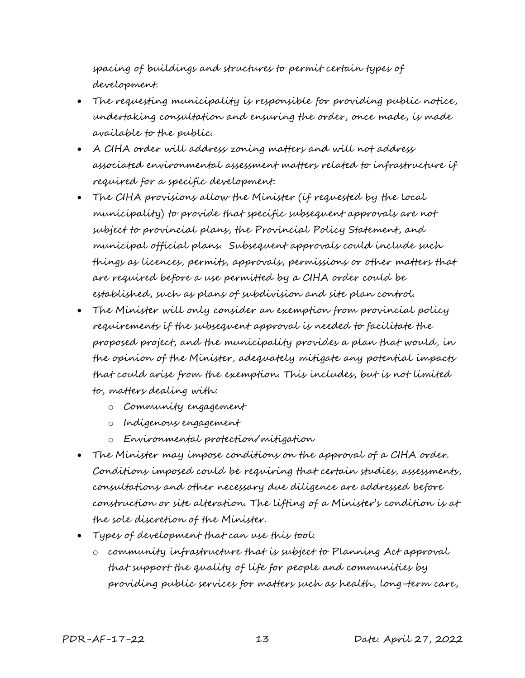spacing of buildings and structures to permit certain types of development.

- The requesting municipality is responsible for providing public notice, undertaking consultation and ensuring the order, once made, is made available to the public.
- A CIHA order will address zoning matters and will not address associated environmental assessment matters related to infrastructure if required for a specific development.
- The CIHA provisions allow the Minister (if requested by the local municipality) to provide that specific subsequent approvals are not subject to provincial plans, the Provincial Policy Statement, and municipal official plans.Subsequent approvals could include such things as licences, permits, approvals, permissions or other matters that are required before a use permitted by a CIHA order could be established, such as plans of subdivision and site plan control.
- The Minister will only consider an exemption from provincial policy requirements if the subsequent approval is needed to facilitate the proposed project, and the municipality provides a plan that would, in the opinion of the Minister, adequately mitigate any potential impacts that could arise from the exemption. This includes, but is not limited to, matters dealing with:
	- o Community engagement
	- o Indigenous engagement
	- o Environmental protection/mitigation
- The Minister may impose conditions on the approval of a CIHA order. Conditions imposed could be requiring that certain studies, assessments, consultations and other necessary due diligence are addressed before construction or site alteration. The lifting of a Minister's condition is at the sole discretion of the Minister.
- Types of development that can use this tool:
	- o community infrastructure that is subject to Planning Act approval that support the quality of life for people and communities by providing public services for matters such as health, long-term care,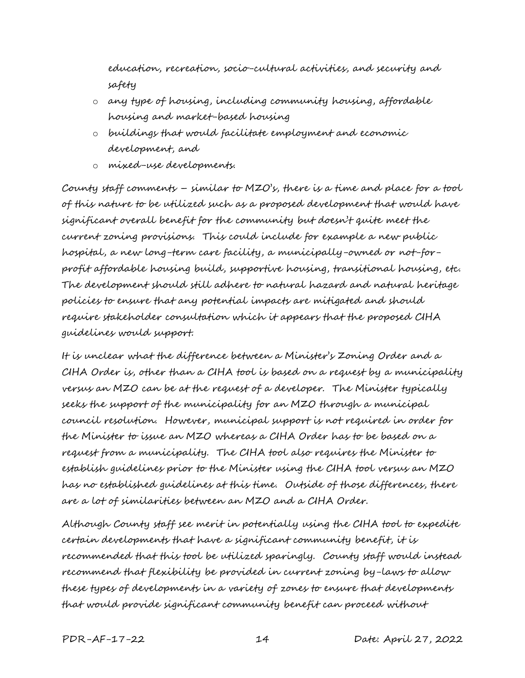education, recreation, socio-cultural activities, and security and safety

- o any type of housing, including community housing, affordable housing and market-based housing
- o buildings that would facilitate employment and economic development, and
- o mixed-use developments.

County staff comments – similar to MZO's, there is a time and place for a tool of this nature to be utilized such as a proposed development that would have significant overall benefit for the community but doesn't quite meet the current zoning provisions. This could include for example a new public hospital, a new long-term care facility, a municipally-owned or not-forprofit affordable housing build, supportive housing, transitional housing, etc. The development should still adhere to natural hazard and natural heritage policies to ensure that any potential impacts are mitigated and should require stakeholder consultation which it appears that the proposed CIHA guidelines would support.

It is unclear what the difference between a Minister's Zoning Order and a CIHA Order is, other than a CIHA tool is based on a request by a municipality versus an MZO can be at the request of a developer. The Minister typically seeks the support of the municipality for an MZO through a municipal council resolution. However, municipal support is not required in order for the Minister to issue an MZO whereas a CIHA Order has to be based on a request from a municipality. The CIHA tool also requires the Minister to establish guidelines prior to the Minister using the CIHA tool versus an MZO has no established guidelines at this time. Outside of those differences, there are a lot of similarities between an MZO and a CIHA Order.

Although County staff see merit in potentially using the CIHA tool to expedite certain developments that have a significant community benefit, it is recommended that this tool be utilized sparingly. County staff would instead recommend that flexibility be provided in current zoning by-laws to allow these types of developments in a variety of zones to ensure that developments that would provide significant community benefit can proceed without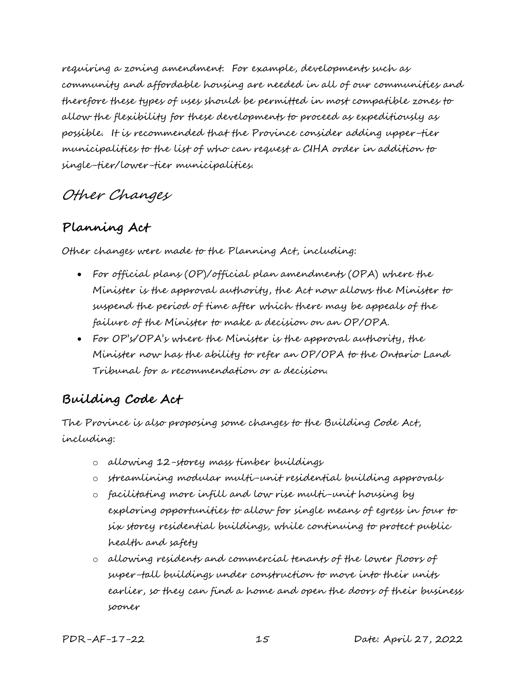requiring a zoning amendment. For example, developments such as community and affordable housing are needed in all of our communities and therefore these types of uses should be permitted in most compatible zones to allow the flexibility for these developments to proceed as expeditiously as possible. It is recommended that the Province consider adding upper-tier municipalities to the list of who can request a CIHA order in addition to single-tier/lower-tier municipalities.

### Other Changes

### **Planning Act**

Other changes were made to the Planning Act, including:

- For official plans (OP)/official plan amendments (OPA) where the Minister is the approval authority, the Act now allows the Minister to suspend the period of time after which there may be appeals of the failure of the Minister to make a decision on an OP/OPA.
- For OP's/OPA's where the Minister is the approval authority, the Minister now has the ability to refer an OP/OPA to the Ontario Land Tribunal for a recommendation or a decision.

### **Building Code Act**

The Province is also proposing some changes to the Building Code Act, including:

- o allowing 12-storey mass timber buildings
- o streamlining modular multi-unit residential building approvals
- o facilitating more infill and low rise multi-unit housing by exploring opportunities to allow for single means of egress in four to six storey residential buildings, while continuing to protect public health and safety
- o allowing residents and commercial tenants of the lower floors of super-tall buildings under construction to move into their units earlier, so they can find a home and open the doors of their business sooner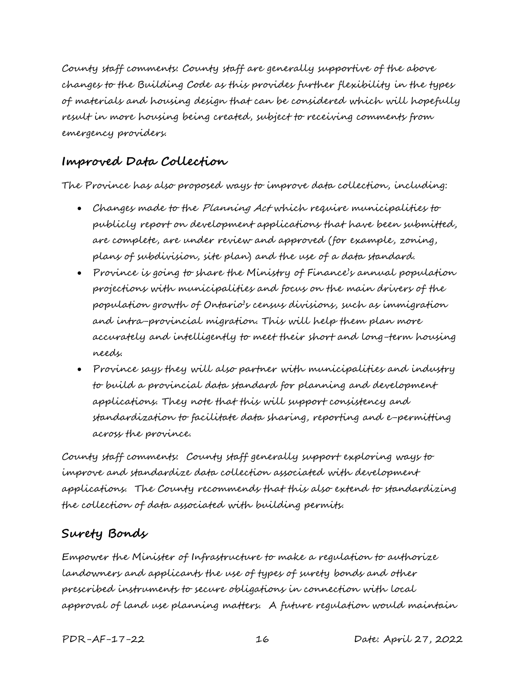County staff comments: County staff are generally supportive of the above changes to the Building Code as this provides further flexibility in the types of materials and housing design that can be considered which will hopefully result in more housing being created, subject to receiving comments from emergency providers.

#### **Improved Data Collection**

The Province has also proposed ways to improve data collection, including:

- Changes made to the Planning Act which require municipalities to publicly report on development applications that have been submitted, are complete, are under review and approved (for example, zoning, plans of subdivision, site plan) and the use of a data standard.
- Province is going to share the Ministry of Finance's annual population projections with municipalities and focus on the main drivers of the population growth of Ontario's census divisions, such as immigration and intra-provincial migration. This will help them plan more accurately and intelligently to meet their short and long-term housing needs.
- Province says they will also partner with municipalities and industry to build a provincial data standard for planning and development applications. They note that this will support consistency and standardization to facilitate data sharing, reporting and e-permitting across the province.

County staff comments: County staff generally support exploring ways to improve and standardize data collection associated with development applications. The County recommends that this also extend to standardizing the collection of data associated with building permits.

#### **Surety Bonds**

Empower the Minister of Infrastructure to make a regulation to authorize landowners and applicants the use of types of surety bonds and other prescribed instruments to secure obligations in connection with local approval of land use planning matters. A future regulation would maintain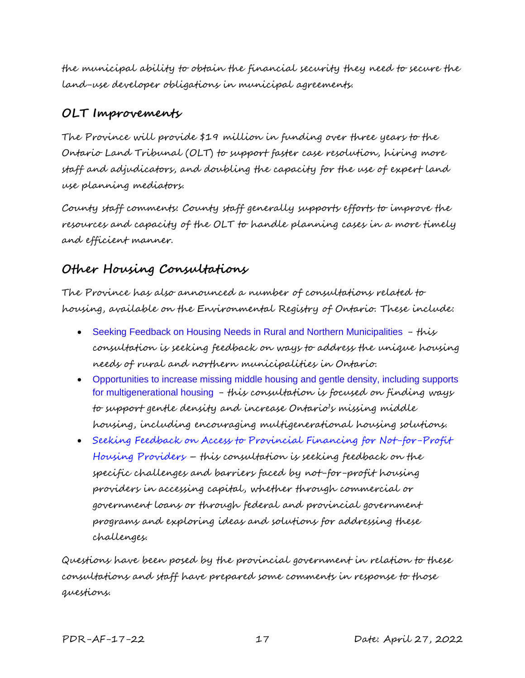the municipal ability to obtain the financial security they need to secure the land-use developer obligations in municipal agreements.

#### **OLT Improvements**

The Province will provide \$19 million in funding over three years to the Ontario Land Tribunal (OLT) to support faster case resolution, hiring more staff and adjudicators, and doubling the capacity for the use of expert land use planning mediators.

County staff comments: County staff generally supports efforts to improve the resources and capacity of the OLT to handle planning cases in a more timely and efficient manner.

### **Other Housing Consultations**

The Province has also announced a number of consultations related to housing, available on the Environmental Registry of Ontario. These include:

- [Seeking Feedback on Housing Needs in Rural and Northern Municipalities](http://mfoa.informz.ca/z/cjUucD9taT0xMzM1NzEwJnA9MSZ1PTkwNzYyOTgyMCZsaT0yNTQ4ODgyOA/index.html)  $-$  this consultation is seeking feedback on ways to address the unique housing needs of rural and northern municipalities in Ontario.
- [Opportunities to increase missing middle housing and gentle density, including supports](http://mfoa.informz.ca/z/cjUucD9taT0xMzM1NzEwJnA9MSZ1PTkwNzYyOTgyMCZsaT0yNTQ4ODgyOQ/index.html)  [for multigenerational housing](http://mfoa.informz.ca/z/cjUucD9taT0xMzM1NzEwJnA9MSZ1PTkwNzYyOTgyMCZsaT0yNTQ4ODgyOQ/index.html) - this consultation is focused on finding ways to support gentle density and increase Ontario's missing middle housing, including encouraging multigenerational housing solutions.
- [Seeking Feedback on Access to Provincial Financing for Not-for-Profit](https://www.ontariocanada.com/registry/view.do?postingId=41451&language=en)  [Housing Providers](https://www.ontariocanada.com/registry/view.do?postingId=41451&language=en) – this consultation is seeking feedback on the specific challenges and barriers faced by not-for-profit housing providers in accessing capital, whether through commercial or government loans or through federal and provincial government programs and exploring ideas and solutions for addressing these challenges.

Questions have been posed by the provincial government in relation to these consultations and staff have prepared some comments in response to those questions.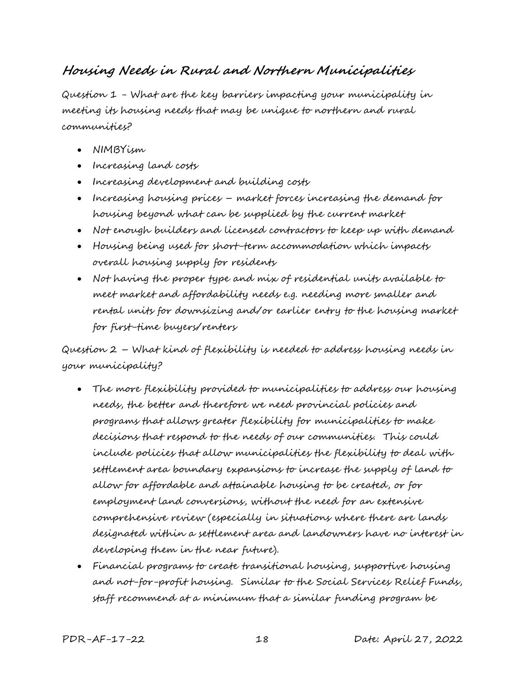### **Housing Needs in Rural and Northern Municipalities**

Question 1 - What are the key barriers impacting your municipality in meeting its housing needs that may be unique to northern and rural communities?

- NIMBYism
- Increasing land costs
- Increasing development and building costs
- Increasing housing prices market forces increasing the demand for housing beyond what can be supplied by the current market
- Not enough builders and licensed contractors to keep up with demand
- Housing being used for short-term accommodation which impacts overall housing supply for residents
- Not having the proper type and mix of residential units available to meet market and affordability needs e.g. needing more smaller and rental units for downsizing and/or earlier entry to the housing market for first-time buyers/renters

Question 2 – What kind of flexibility is needed to address housing needs in your municipality?

- The more flexibility provided to municipalities to address our housing needs, the better and therefore we need provincial policies and programs that allows greater flexibility for municipalities to make decisions that respond to the needs of our communities. This could include policies that allow municipalities the flexibility to deal with settlement area boundary expansions to increase the supply of land to allow for affordable and attainable housing to be created, or for employment land conversions, without the need for an extensive comprehensive review (especially in situations where there are lands designated within a settlement area and landowners have no interest in developing them in the near future).
- Financial programs to create transitional housing, supportive housing and not-for-profit housing. Similar to the Social Services Relief Funds, staff recommend at a minimum that a similar funding program be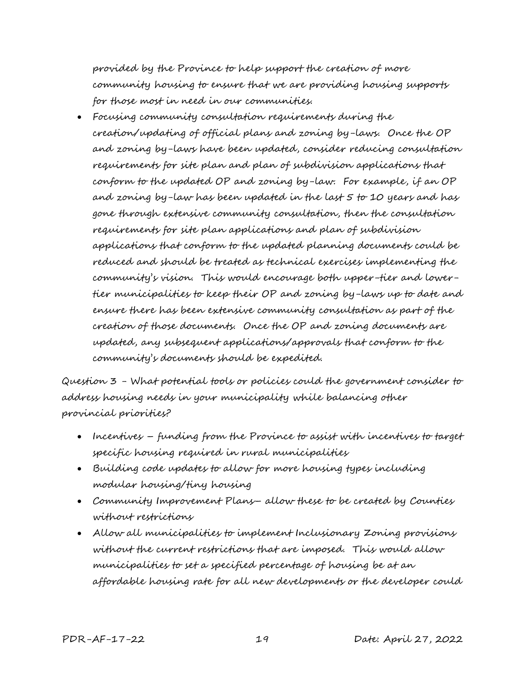provided by the Province to help support the creation of more community housing to ensure that we are providing housing supports for those most in need in our communities.

 Focusing community consultation requirements during the creation/updating of official plans and zoning by-laws. Once the OP and zoning by-laws have been updated, consider reducing consultation requirements for site plan and plan of subdivision applications that conform to the updated OP and zoning by-law. For example, if an OP and zoning by-law has been updated in the last 5 to 10 years and has gone through extensive community consultation, then the consultation requirements for site plan applications and plan of subdivision applications that conform to the updated planning documents could be reduced and should be treated as technical exercises implementing the community's vision. This would encourage both upper-tier and lowertier municipalities to keep their OP and zoning by-laws up to date and ensure there has been extensive community consultation as part of the creation of those documents. Once the OP and zoning documents are updated, any subsequent applications/approvals that conform to the community's documents should be expedited.

Question 3 - What potential tools or policies could the government consider to address housing needs in your municipality while balancing other provincial priorities?

- Incentives funding from the Province to assist with incentives to target specific housing required in rural municipalities
- Building code updates to allow for more housing types including modular housing/tiny housing
- Community Improvement Plans– allow these to be created by Counties without restrictions
- Allow all municipalities to implement Inclusionary Zoning provisions without the current restrictions that are imposed. This would allow municipalities to set a specified percentage of housing be at an affordable housing rate for all new developments or the developer could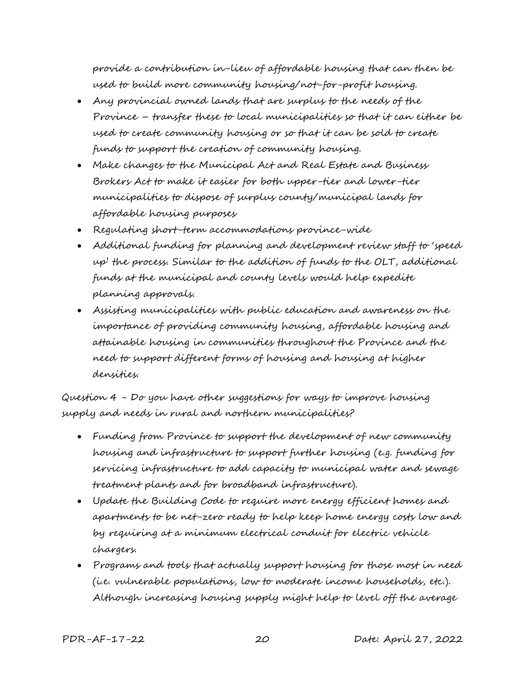provide a contribution in-lieu of affordable housing that can then be used to build more community housing/not-for-profit housing.

- Any provincial owned lands that are surplus to the needs of the Province – transfer these to local municipalities so that it can either be used to create community housing or so that it can be sold to create funds to support the creation of community housing.
- Make changes to the Municipal Act and Real Estate and Business Brokers Act to make it easier for both upper-tier and lower-tier municipalities to dispose of surplus county/municipal lands for affordable housing purposes
- Regulating short-term accommodations province-wide
- Additional funding for planning and development review staff to 'speed up' the process. Similar to the addition of funds to the OLT, additional funds at the municipal and county levels would help expedite planning approvals.
- Assisting municipalities with public education and awareness on the importance of providing community housing, affordable housing and attainable housing in communities throughout the Province and the need to support different forms of housing and housing at higher densities.

Question 4 - Do you have other suggestions for ways to improve housing supply and needs in rural and northern municipalities?

- Funding from Province to support the development of new community housing and infrastructure to support further housing (e.g. funding for servicing infrastructure to add capacity to municipal water and sewage treatment plants and for broadband infrastructure).
- Update the Building Code to require more energy efficient homes and apartments to be net-zero ready to help keep home energy costs low and by requiring at a minimum electrical conduit for electric vehicle chargers.
- Programs and tools that actually support housing for those most in need (i.e. vulnerable populations, low to moderate income households, etc.). Although increasing housing supply might help to level off the average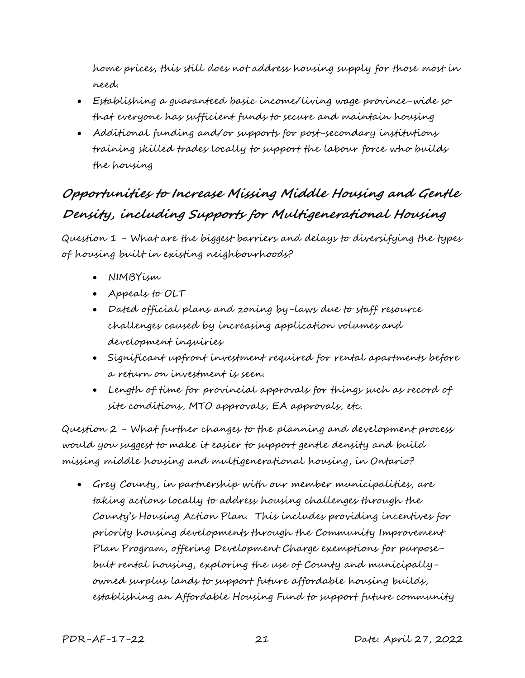home prices, this still does not address housing supply for those most in need.

- Establishing a guaranteed basic income/living wage province-wide so that everyone has sufficient funds to secure and maintain housing
- Additional funding and/or supports for post-secondary institutions training skilled trades locally to support the labour force who builds the housing

# **Opportunities to Increase Missing Middle Housing and Gentle Density, including Supports for Multigenerational Housing**

Question 1 - What are the biggest barriers and delays to diversifying the types of housing built in existing neighbourhoods?

- NIMBYism
- Appeals to OLT
- Dated official plans and zoning by-laws due to staff resource challenges caused by increasing application volumes and development inquiries
- Significant upfront investment required for rental apartments before a return on investment is seen.
- Length of time for provincial approvals for things such as record of site conditions, MTO approvals, EA approvals, etc.

Question 2 - What further changes to the planning and development process would you suggest to make it easier to support gentle density and build missing middle housing and multigenerational housing, in Ontario?

 Grey County, in partnership with our member municipalities, are taking actions locally to address housing challenges through the County's Housing Action Plan. This includes providing incentives for priority housing developments through the Community Improvement Plan Program, offering Development Charge exemptions for purposebult rental housing, exploring the use of County and municipallyowned surplus lands to support future affordable housing builds, establishing an Affordable Housing Fund to support future community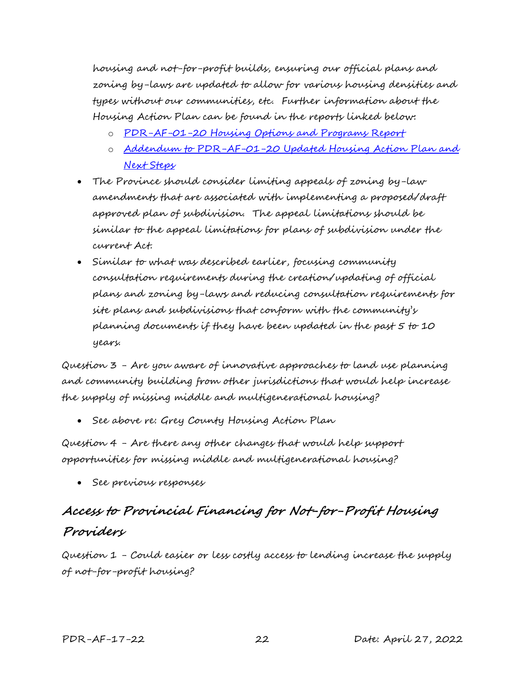housing and not-for-profit builds, ensuring our official plans and zoning by-laws are updated to allow for various housing densities and types without our communities, etc. Further information about the Housing Action Plan can be found in the reports linked below:

- o [PDR-AF-01-20 Housing Options and Programs Report](https://docs.grey.ca/share/public?nodeRef=workspace://SpacesStore/323b7d04-ef08-468d-b4f9-9d78bf99c3c5)
- o [Addendum to PDR-AF-01-20 Updated Housing Action Plan and](https://docs.grey.ca/share/public?nodeRef=workspace://SpacesStore/c03cf9e1-895e-436f-8809-b65073d867d9)  [Next Steps](https://docs.grey.ca/share/public?nodeRef=workspace://SpacesStore/c03cf9e1-895e-436f-8809-b65073d867d9)
- The Province should consider limiting appeals of zoning by-law amendments that are associated with implementing a proposed/draft approved plan of subdivision. The appeal limitations should be similar to the appeal limitations for plans of subdivision under the current Act.
- Similar to what was described earlier, focusing community consultation requirements during the creation/updating of official plans and zoning by-laws and reducing consultation requirements for site plans and subdivisions that conform with the community's planning documents if they have been updated in the past 5 to 10 years.

Question 3 - Are you aware of innovative approaches to land use planning and community building from other jurisdictions that would help increase the supply of missing middle and multigenerational housing?

See above re: Grey County Housing Action Plan

Question 4 - Are there any other changes that would help support opportunities for missing middle and multigenerational housing?

See previous responses

# **Access to Provincial Financing for Not-for-Profit Housing Providers**

Question 1 - Could easier or less costly access to lending increase the supply of not-for-profit housing?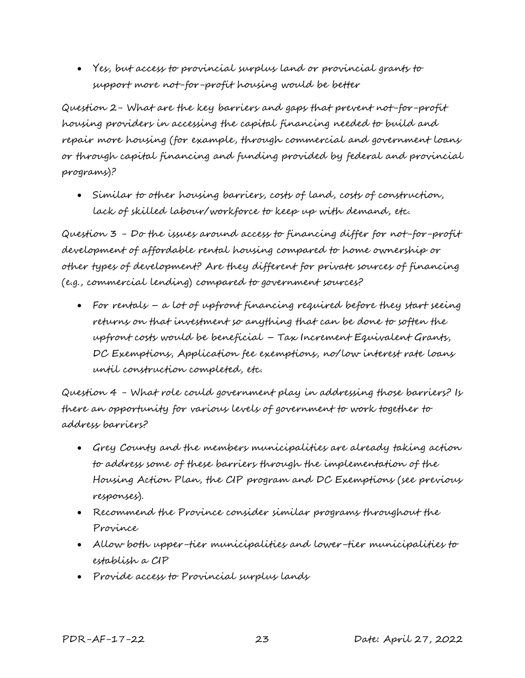Yes, but access to provincial surplus land or provincial grants to support more not-for-profit housing would be better

Question 2- What are the key barriers and gaps that prevent not-for-profit housing providers in accessing the capital financing needed to build and repair more housing (for example, through commercial and government loans or through capital financing and funding provided by federal and provincial programs)?

 Similar to other housing barriers, costs of land, costs of construction, lack of skilled labour/workforce to keep up with demand, etc.

Question 3 - Do the issues around access to financing differ for not-for-profit development of affordable rental housing compared to home ownership or other types of development? Are they different for private sources of financing (e.g., commercial lending) compared to government sources?

 For rentals – a lot of upfront financing required before they start seeing returns on that investment so anything that can be done to soften the upfront costs would be beneficial – Tax Increment Equivalent Grants, DC Exemptions, Application fee exemptions, no/low interest rate loans until construction completed, etc.

Question 4 - What role could government play in addressing those barriers? Is there an opportunity for various levels of government to work together to address barriers?

- Grey County and the members municipalities are already taking action to address some of these barriers through the implementation of the Housing Action Plan, the CIP program and DC Exemptions (see previous responses).
- Recommend the Province consider similar programs throughout the Province
- Allow both upper-tier municipalities and lower-tier municipalities to establish a CIP
- Provide access to Provincial surplus lands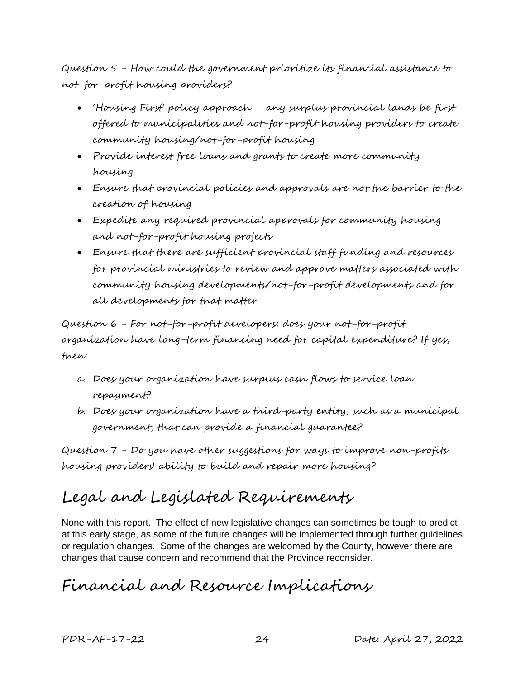Question 5 - How could the government prioritize its financial assistance to not-for-profit housing providers?

- 'Housing First' policy approach any surplus provincial lands be first offered to municipalities and not-for-profit housing providers to create community housing/not-for-profit housing
- Provide interest free loans and grants to create more community housing
- Ensure that provincial policies and approvals are not the barrier to the creation of housing
- Expedite any required provincial approvals for community housing and not-for-profit housing projects
- Ensure that there are sufficient provincial staff funding and resources for provincial ministries to review and approve matters associated with community housing developments/not-for-profit developments and for all developments for that matter

Question 6 - For not-for-profit developers: does your not-for-profit organization have long-term financing need for capital expenditure? If yes, then:

- a. Does your organization have surplus cash flows to service loan repayment?
- b. Does your organization have a third-party entity, such as a municipal government, that can provide a financial guarantee?

Question 7 - Do you have other suggestions for ways to improve non-profits housing providers' ability to build and repair more housing?

# Legal and Legislated Requirements

None with this report. The effect of new legislative changes can sometimes be tough to predict at this early stage, as some of the future changes will be implemented through further guidelines or regulation changes. Some of the changes are welcomed by the County, however there are changes that cause concern and recommend that the Province reconsider.

# Financial and Resource Implications